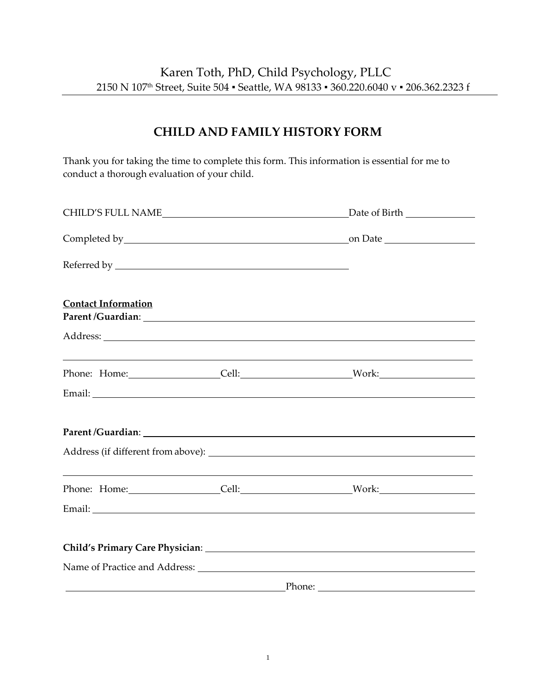## **CHILD AND FAMILY HISTORY FORM**

Thank you for taking the time to complete this form. This information is essential for me to conduct a thorough evaluation of your child.

| <b>Contact Information</b>                                |  |                                                                                                                                                 |  |  |
|-----------------------------------------------------------|--|-------------------------------------------------------------------------------------------------------------------------------------------------|--|--|
|                                                           |  |                                                                                                                                                 |  |  |
|                                                           |  | ,我们也不能在这里的时候,我们也不能在这里的时候,我们也不能不能不能不能不能不能不能不能不能不能不能不能不能不能不能。<br>第2012章 我们的时候,我们的时候,我们的时候,我们的时候,我们的时候,我们的时候,我们的时候,我们的时候,我们的时候,我们的时候,我们的时候,我们的时候,我 |  |  |
|                                                           |  |                                                                                                                                                 |  |  |
|                                                           |  |                                                                                                                                                 |  |  |
|                                                           |  | Address (if different from above):                                                                                                              |  |  |
|                                                           |  | ,我们也不会有什么。""我们的人,我们也不会有什么?""我们的人,我们也不会有什么?""我们的人,我们也不会有什么?""我们的人,我们也不会有什么?""我们的人                                                                |  |  |
|                                                           |  |                                                                                                                                                 |  |  |
|                                                           |  | Child's Primary Care Physician: Manual Child's Primary Care Physician:                                                                          |  |  |
|                                                           |  |                                                                                                                                                 |  |  |
| <u> 1989 - Johann Barnett, fransk politiker (d. 1989)</u> |  |                                                                                                                                                 |  |  |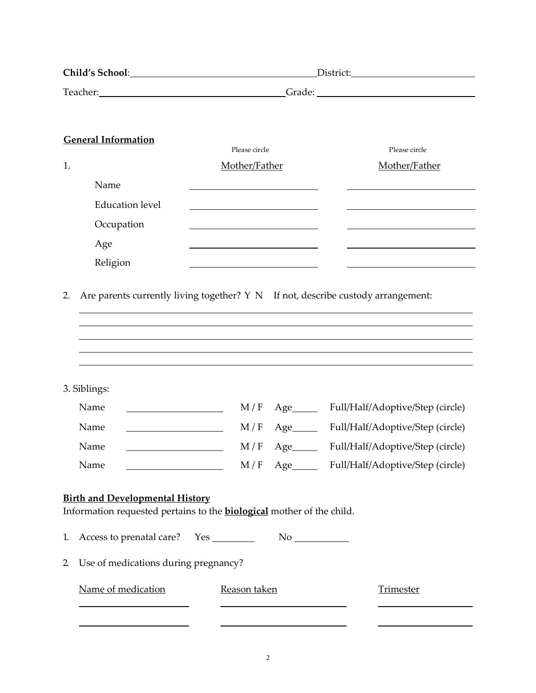| Child's School: <u>Child's School:</u>                                                                                 |                                  |                                  |  |  |  |  |
|------------------------------------------------------------------------------------------------------------------------|----------------------------------|----------------------------------|--|--|--|--|
|                                                                                                                        |                                  |                                  |  |  |  |  |
|                                                                                                                        |                                  |                                  |  |  |  |  |
| <b>General Information</b>                                                                                             | Please circle                    | Please circle                    |  |  |  |  |
| 1.                                                                                                                     | Mother/Father                    | Mother/Father                    |  |  |  |  |
| Name                                                                                                                   |                                  |                                  |  |  |  |  |
| <b>Education</b> level                                                                                                 |                                  |                                  |  |  |  |  |
| Occupation                                                                                                             |                                  |                                  |  |  |  |  |
| Age                                                                                                                    |                                  |                                  |  |  |  |  |
| Religion                                                                                                               |                                  |                                  |  |  |  |  |
|                                                                                                                        |                                  |                                  |  |  |  |  |
| Are parents currently living together? Y N If not, describe custody arrangement:<br>2.                                 |                                  |                                  |  |  |  |  |
|                                                                                                                        |                                  |                                  |  |  |  |  |
|                                                                                                                        |                                  |                                  |  |  |  |  |
|                                                                                                                        |                                  |                                  |  |  |  |  |
|                                                                                                                        |                                  |                                  |  |  |  |  |
| 3. Siblings:                                                                                                           |                                  |                                  |  |  |  |  |
| Name                                                                                                                   | $M/F$ Age                        | Full/Half/Adoptive/Step (circle) |  |  |  |  |
| Name                                                                                                                   | M/F<br>Age                       | Full/Half/Adoptive/Step (circle) |  |  |  |  |
| Name                                                                                                                   | M/F<br>$Age$ <sub>________</sub> | Full/Half/Adoptive/Step (circle) |  |  |  |  |
| Name                                                                                                                   |                                  |                                  |  |  |  |  |
| <b>Birth and Developmental History</b><br>Information requested pertains to the <b>biological</b> mother of the child. |                                  |                                  |  |  |  |  |
| 1.                                                                                                                     |                                  |                                  |  |  |  |  |
| Use of medications during pregnancy?<br>$\overline{2}$                                                                 |                                  |                                  |  |  |  |  |
| Name of medication                                                                                                     | Reason taken                     | <b>Trimester</b>                 |  |  |  |  |
|                                                                                                                        |                                  |                                  |  |  |  |  |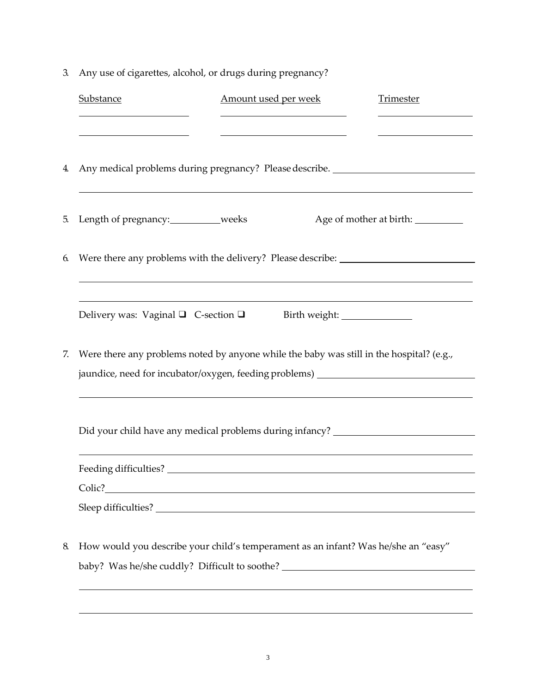| 3.     | Any use of cigarettes, alcohol, or drugs during pregnancy?                                                            |                                                                                                                       |                                                                                   |  |  |  |  |
|--------|-----------------------------------------------------------------------------------------------------------------------|-----------------------------------------------------------------------------------------------------------------------|-----------------------------------------------------------------------------------|--|--|--|--|
|        | Substance                                                                                                             | Amount used per week                                                                                                  | <b>Trimester</b>                                                                  |  |  |  |  |
|        |                                                                                                                       | <u> 1989 - Johann Barbara, martin amerikan basar dan basar dan basar dalam basar dalam basar dalam basar dalam ba</u> |                                                                                   |  |  |  |  |
|        | <u> 1989 - Johann Barn, mars ann an t-Amhain an t-Amhain an t-Amhain an t-Amhain an t-Amhain an t-Amhain an t-Amh</u> | <u> 1989 - Johann Barn, mars ann an t-Amhain an t-Amhain an t-Amhain an t-Amhain an t-Amhain an t-Amhain an t-Amh</u> |                                                                                   |  |  |  |  |
|        |                                                                                                                       |                                                                                                                       |                                                                                   |  |  |  |  |
| 4.     | Any medical problems during pregnancy? Please describe. ________________________                                      |                                                                                                                       |                                                                                   |  |  |  |  |
|        |                                                                                                                       |                                                                                                                       |                                                                                   |  |  |  |  |
| 5.     | Length of pregnancy: weeks                                                                                            |                                                                                                                       | Age of mother at birth: __________                                                |  |  |  |  |
|        |                                                                                                                       |                                                                                                                       |                                                                                   |  |  |  |  |
| 6.     |                                                                                                                       |                                                                                                                       | Were there any problems with the delivery? Please describe: _____________________ |  |  |  |  |
|        |                                                                                                                       |                                                                                                                       |                                                                                   |  |  |  |  |
|        |                                                                                                                       |                                                                                                                       |                                                                                   |  |  |  |  |
|        | Delivery was: Vaginal $\Box$ C-section $\Box$                                                                         |                                                                                                                       |                                                                                   |  |  |  |  |
|        |                                                                                                                       |                                                                                                                       |                                                                                   |  |  |  |  |
| 7.     | Were there any problems noted by anyone while the baby was still in the hospital? (e.g.,                              |                                                                                                                       |                                                                                   |  |  |  |  |
|        | jaundice, need for incubator/oxygen, feeding problems) _________________________                                      |                                                                                                                       |                                                                                   |  |  |  |  |
|        |                                                                                                                       |                                                                                                                       |                                                                                   |  |  |  |  |
|        |                                                                                                                       |                                                                                                                       |                                                                                   |  |  |  |  |
|        |                                                                                                                       |                                                                                                                       | Did your child have any medical problems during infancy? _______________________  |  |  |  |  |
| Colic? |                                                                                                                       |                                                                                                                       |                                                                                   |  |  |  |  |
|        |                                                                                                                       |                                                                                                                       |                                                                                   |  |  |  |  |
|        |                                                                                                                       |                                                                                                                       |                                                                                   |  |  |  |  |
| 8.     | How would you describe your child's temperament as an infant? Was he/she an "easy"                                    |                                                                                                                       |                                                                                   |  |  |  |  |
|        | baby? Was he/she cuddly? Difficult to soothe? __________________________________                                      |                                                                                                                       |                                                                                   |  |  |  |  |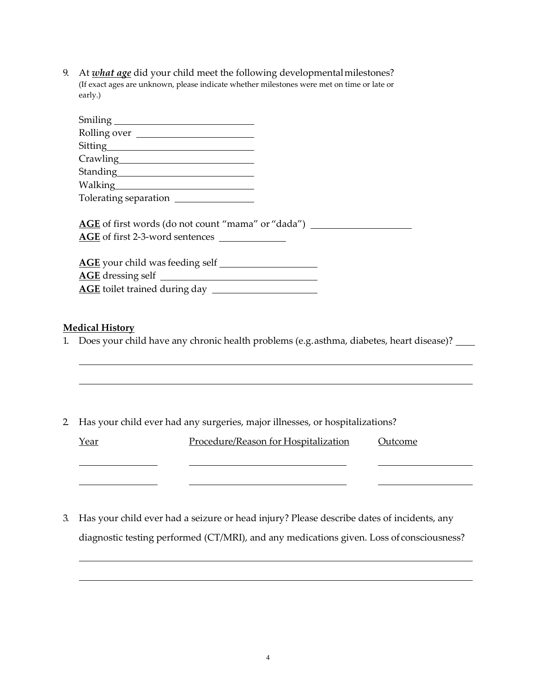9. At *what age* did your child meet the following developmentalmilestones? (If exact ages are unknown, please indicate whether milestones were met on time or late or early.)

| Rolling over                                                                                        |
|-----------------------------------------------------------------------------------------------------|
| Sitting                                                                                             |
|                                                                                                     |
|                                                                                                     |
|                                                                                                     |
|                                                                                                     |
| <b>AGE</b> of first words (do not count "mama" or "dada")<br>AGE of first 2-3-word sentences        |
|                                                                                                     |
|                                                                                                     |
|                                                                                                     |
|                                                                                                     |
| <u> Medical History</u>                                                                             |
| 1. Does your child have any chronic health problems (e.g. asthma, diabetes, heart disease)? _______ |
|                                                                                                     |

2. Has your child ever had any surgeries, major illnesses, or hospitalizations?

| <u>Year</u> | Procedure/Reason for Hospitalization | Outcome |
|-------------|--------------------------------------|---------|
|             |                                      |         |
|             |                                      |         |

3. Has your child ever had a seizure or head injury? Please describe dates of incidents, any diagnostic testing performed (CT/MRI), and any medications given. Loss of consciousness?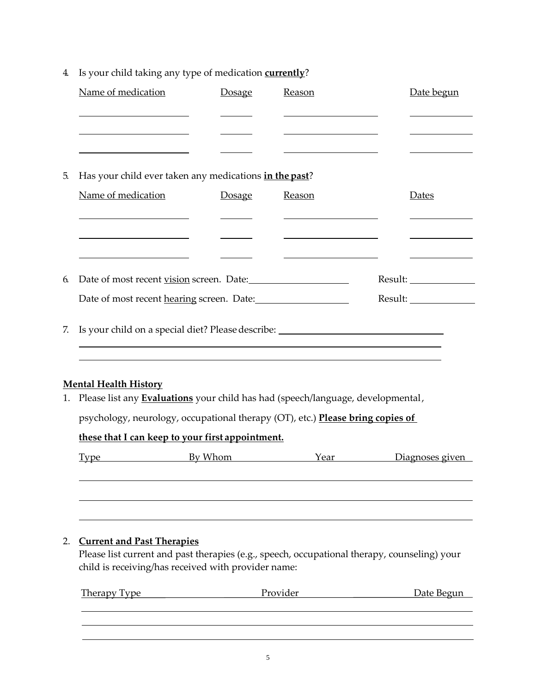|    | Name of medication                                                                                                                                                    | <b>Dosage</b> | Reason                                                                                                                | Date begun      |  |  |  |  |
|----|-----------------------------------------------------------------------------------------------------------------------------------------------------------------------|---------------|-----------------------------------------------------------------------------------------------------------------------|-----------------|--|--|--|--|
|    | <u> 1989 - Johann Barn, fransk politik (d. 1989)</u><br><u> 1989 - Johann Stoff, fransk politik (d. 1989)</u>                                                         |               | <u> 1989 - Johann Barn, fransk politik amerikansk politik (</u><br><u> 1989 - Johann Barn, amerikansk politiker (</u> |                 |  |  |  |  |
|    |                                                                                                                                                                       |               |                                                                                                                       |                 |  |  |  |  |
| 5. | Has your child ever taken any medications in the past?                                                                                                                |               |                                                                                                                       |                 |  |  |  |  |
|    | Name of medication                                                                                                                                                    | Dosage        | Reason                                                                                                                | <b>Dates</b>    |  |  |  |  |
|    | <u> 1980 - Andrea Andrew Maria (b. 1980)</u>                                                                                                                          |               | <u> 1989 - Andrea Barbara, poeta espainiar político e a continente de la propia de la propia de la propia de la p</u> |                 |  |  |  |  |
|    | <u> 1989 - Johann Barn, amerikansk politiker (</u>                                                                                                                    |               |                                                                                                                       |                 |  |  |  |  |
| 6. | Date of most recent vision screen. Date:                                                                                                                              |               |                                                                                                                       |                 |  |  |  |  |
|    |                                                                                                                                                                       |               |                                                                                                                       |                 |  |  |  |  |
|    | Date of most recent hearing screen. Date:                                                                                                                             |               |                                                                                                                       | Result:         |  |  |  |  |
| 7. | Is your child on a special diet? Please describe: ______________________________<br>,我们也不能在这里的时候,我们也不能会在这里,我们也不能会在这里,我们也不能会在这里的时候,我们也不能会在这里的时候,我们也不能会在这里的时候,我们也不能会在这里 |               |                                                                                                                       |                 |  |  |  |  |
|    |                                                                                                                                                                       |               | ,我们也不能在这里的时候,我们也不能在这里的时候,我们也不能会在这里的时候,我们也不能会在这里的时候,我们也不能会在这里的时候,我们也不能会在这里的时候,我们也不                                     |                 |  |  |  |  |
|    | <b>Mental Health History</b><br>1. Please list any <b>Evaluations</b> your child has had (speech/language, developmental,                                             |               |                                                                                                                       |                 |  |  |  |  |
|    | psychology, neurology, occupational therapy (OT), etc.) Please bring copies of                                                                                        |               |                                                                                                                       |                 |  |  |  |  |
|    | these that I can keep to your first appointment.                                                                                                                      |               |                                                                                                                       |                 |  |  |  |  |
|    | <b>Example 18 Street By Whom</b><br><u>Type</u>                                                                                                                       |               | Year                                                                                                                  | Diagnoses given |  |  |  |  |
|    |                                                                                                                                                                       |               |                                                                                                                       |                 |  |  |  |  |
|    |                                                                                                                                                                       |               |                                                                                                                       |                 |  |  |  |  |
| 2. | <b>Current and Past Therapies</b>                                                                                                                                     |               |                                                                                                                       |                 |  |  |  |  |
|    | Please list current and past therapies (e.g., speech, occupational therapy, counseling) your                                                                          |               |                                                                                                                       |                 |  |  |  |  |
|    | child is receiving/has received with provider name:                                                                                                                   |               |                                                                                                                       |                 |  |  |  |  |
|    | <b>Therapy Type</b>                                                                                                                                                   |               | Provider                                                                                                              | Date Begun      |  |  |  |  |
|    |                                                                                                                                                                       |               |                                                                                                                       |                 |  |  |  |  |

4. Is your child taking any type of medication **currently**?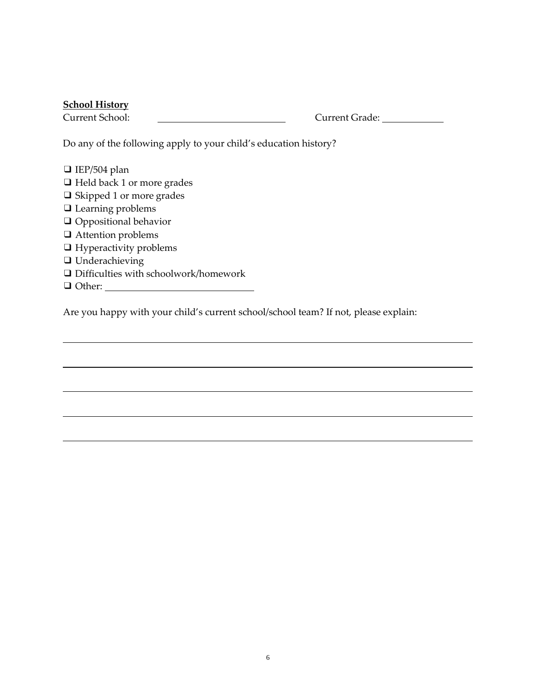## **School History**

Current School: Current Grade:

Do any of the following apply to your child's education history?

| $\Box$ IEP/504 plan                          |
|----------------------------------------------|
| $\Box$ Held back 1 or more grades            |
| $\Box$ Skipped 1 or more grades              |
| $\Box$ Learning problems                     |
| $\Box$ Oppositional behavior                 |
| $\Box$ Attention problems                    |
| $\Box$ Hyperactivity problems                |
| $\Box$ Underachieving                        |
| $\Box$ Difficulties with schoolwork/homework |
| $\Box$ Other:                                |

Are you happy with your child's current school/school team? If not, please explain: